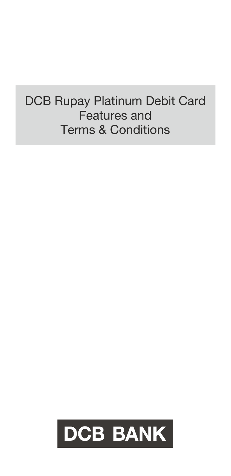# DCB Rupay Platinum Debit Card Features and Terms & Conditions

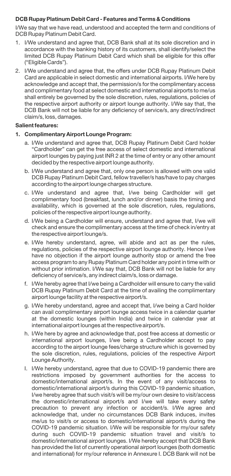### **DCB Rupay Platinum Debit Card - Features and Terms & Conditions**

I/We say that we have read, understood and accepted the term and conditions of DCB Rupay Platinum Debit Card.

- 1. I/We understand and agree that, DCB Bank shall at its sole discretion and in accordance with the banking history of its customers, shall identify/select the limited DCB Rupay Platinum Debit Card which shall be eligible for this offer ("Eligible Cards").
- 2. I/We understand and agree that, the offers under DCB Rupay Platinum Debit Card are applicable in select domestic and international airports. I/We here by acknowledge and accept that, the permission/s for the complimentary access and complimentary food at select domestic and international airports to me/us shall entirely be governed by the sole discretion, rules, regulations, policies of the respective airport authority or airport lounge authority. I/We say that, the DCB Bank will not be liable for any deficiency of service/s, any direct/indirect claim/s, loss, damages.

#### **Salient features:**

#### **1. Complimentary Airport Lounge Program:**

- a. I/We understand and agree that, DCB Rupay Platinum Debit Card holder "Cardholder" can get the free access of select domestic and international airport lounges by paying just INR 2 at the time of entry or any other amount decided by the respective airport lounge authority.
- b. I/We understand and agree that, only one person is allowed with one valid DCB Rupay Platinum Debit Card, fellow traveller/s has/have to pay charges according to the airport lounge charges structure.
- c. I/We understand and agree that, I/we being Cardholder will get complimentary food (breakfast, lunch and/or dinner) basis the timing and availability, which is governed at the sole discretion, rules, regulations, policies of the respective airport lounge authority.
- d. I/We being a Cardholder will ensure, understand and agree that, I/we will check and ensure the complimentary access at the time of check in/entry at the respective airport lounge/s.
- e. I/We hereby understand, agree, will abide and act as per the rules, regulations, policies of the respective airport lounge authority. Hence I/we have no objection if the airport lounge authority stop or amend the free access program to any Rupay Platinum Card holder any point in time with or without prior intimation. I/We say that, DCB Bank will not be liable for any deficiency of service/s, any indirect claim/s, loss or damage.
- f. I/We hereby agree that I/we being a Cardholder will ensure to carry the valid DCB Rupay Platinum Debit Card at the time of availing the complimentary airport lounge facility at the respective airport/s.
- g. I/We hereby understand, agree and accept that, I/we being a Card holder can avail complimentary airport lounge access twice in a calendar quarter at the domestic lounges (within India) and twice in calendar year at international airport lounges at the respective airport/s.
- h. I/We here by agree and acknowledge that, post free access at domestic or international airport lounges, I/we being a Cardholder accept to pay according to the airport lounge fees/charge structure which is governed by the sole discretion, rules, regulations, policies of the respective Airport Lounge Authority.
- I. I/We hereby understand, agree that due to COVID-19 pandemic there are restrictions imposed by government authorities for the access to domestic/international airport/s. In the event of any visit/access to domestic/international airport/s during this COVID-19 pandemic situation, I/we hereby agree that such visit/s will be my/our own desire to visit/access the domestic/international airport/s and I/we will take every safety precaution to prevent any infection or accident/s. I/We agree and acknowledge that, under no circumstances DCB Bank induces, invites me/us to visit/s or access to domestic/international airport/s during the COVID-19 pandemic situation. I/We will be responsible for my/our safety during such COVID-19 pandemic situation travel and visit/s to domestic/international airport lounges. I/We hereby accept that DCB Bank has provided the list of currently operational airport lounges (both domestic and international) for my/our reference in Annexure I. DCB Bank will not be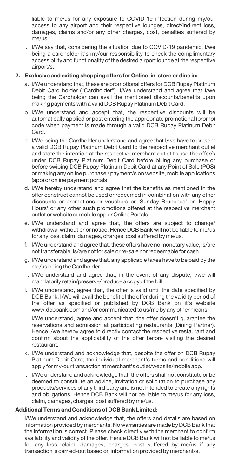liable to me/us for any exposure to COVID-19 infection during my/our access to any airport and their respective lounges, direct/indirect loss, damages, claims and/or any other charges, cost, penalties suffered by me/us.

j. I/We say that, considering the situation due to COVID-19 pandemic, I/we being a cardholder it's my/our responsibility to check the complimentary accessibility and functionality of the desired airport lounge at the respective airport/s.

## **2. Exclusive and exiting shopping offers for Online, in-store or dine in:**

- a. I/We understand that, these are promotional offers for DCB Rupay Platinum Debit Card holder ("Cardholder"). I/We understand and agree that I/we being the Cardholder can avail the mentioned discounts/benefits upon making payments with a valid DCB Rupay Platinum Debit Card.
- b. I/We understand and accept that, the respective discounts will be automatically applied or post entering the appropriate promotional (promo) code when payment is made through a valid DCB Rupay Platinum Debit Card.
- c. I/We being the Cardholder understand and agree that I/we have to present a valid DCB Rupay Platinum Debit Card to the respective merchant outlet and state the intention at the respective merchant outlet to use the offer/s under DCB Rupay Platinum Debit Card before billing any purchase or before swiping DCB Rupay Platinum Debit Card at any Point of Sale (POS) or making any online purchase / payment/s on website, mobile applications (app) or online payment portals.
- d. I/We hereby understand and agree that the benefits as mentioned in the offer construct cannot be used or redeemed in combination with any other discounts or promotions or vouchers or 'Sunday Brunches' or 'Happy Hours' or any other such promotions offered at the respective merchant outlet or website or mobile app or Online Portals.
- e. I/We understand and agree that, the offers are subject to change/ withdrawal without prior notice. Hence DCB Bank will not be liable to me/us for any loss, claim, damages, charges, cost suffered by me/us.
- f. I/We understand and agree that, these offers have no monetary value, is/are not transferable, is/are not for sale or re-sale nor redeemable for cash.
- g. I/We understand and agree that, any applicable taxes have to be paid by the me/us being the Cardholder.
- h. I/We understand and agree that, in the event of any dispute, I/we will mandatorily retain/preserve/produce a copy of the bill.
- I. I/We understand, agree that, the offer is valid until the date specified by DCB Bank. I/We will avail the benefit of the offer during the validity period of the offer as specified or published by DCB Bank on it's website www.dcbbank.com and/or communicated to us/me by any other means.
- j. I/We understand, agree and accept that, the offer doesn't guarantee the reservations and admission at participating restaurants (Dining Partner). Hence I/we hereby agree to directly contact the respective restaurant and confirm about the applicability of the offer before visiting the desired restaurant.
- k. I/We understand and acknowledge that, despite the offer on DCB Rupay Platinum Debit Card, the individual merchant's terms and conditions will apply for my/our transaction at merchant's outlet/website/mobile app.
- l. I/We understand and acknowledge that, the offers shall not constitute or be deemed to constitute an advice, invitation or solicitation to purchase any products/services of any third party and is not intended to create any rights and obligations. Hence DCB Bank will not be liable to me/us for any loss, claim, damages, charges, cost suffered by me/us.

#### **Additional Terms and Conditions of DCB Bank Limited:**

1. I/We understand and acknowledge that, the offers and details are based on information provided by merchants. No warranties are made by DCB Bank that the information is correct. Please check directly with the merchant to confirm availability and validity of the offer. Hence DCB Bank will not be liable to me/us for any loss, claim, damages, charges, cost suffered by me/us if any transaction is carried-out based on information provided by merchant/s.